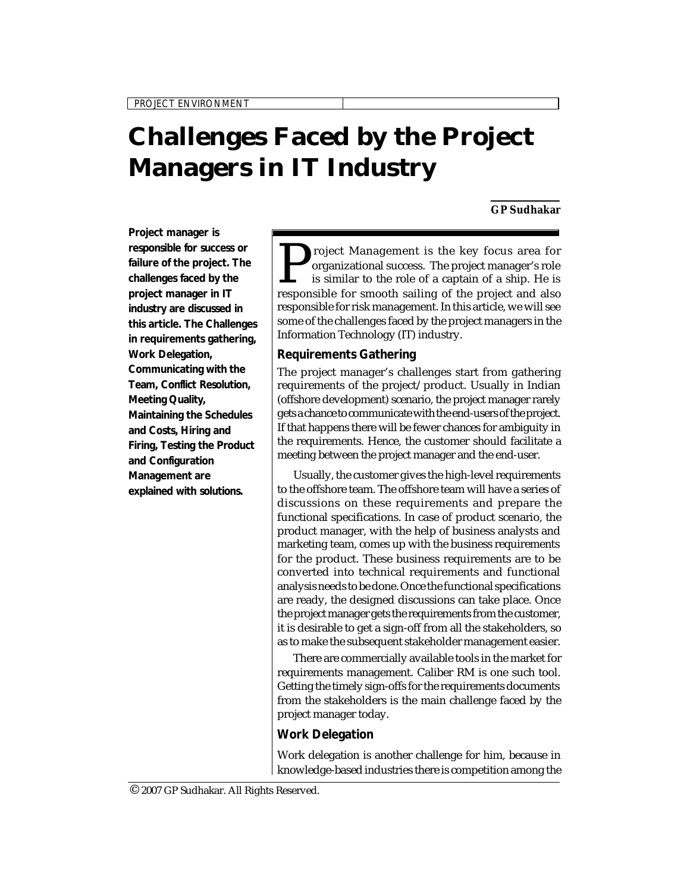# **Challenges Faced by the Project Managers in IT Industry**

#### **GP Sudhakar**

**Project manager is responsible for success or failure of the project. The challenges faced by the project manager in IT industry are discussed in this article. The Challenges in requirements gathering, Work Delegation, Communicating with the Team, Conflict Resolution, Meeting Quality, Maintaining the Schedules and Costs, Hiring and Firing, Testing the Product and Configuration Management are explained with solutions.**

Project Management is the key focus area for organizational success. The project manager's role is similar to the role of a captain of a ship. He is responsible for smooth sailing of the project and also roject Management is the key focus area for organizational success. The project manager's role is similar to the role of a captain of a ship. He is responsible for risk management. In this article, we will see some of the challenges faced by the project managers in the Information Technology (IT) industry.

*Challenges Faced by the Project Managers ...*

## **Requirements Gathering**

The project manager's challenges start from gathering requirements of the project/product. Usually in Indian (offshore development) scenario, the project manager rarely gets a chance to communicate with the end-users of the project. If that happens there will be fewer chances for ambiguity in the requirements. Hence, the customer should facilitate a meeting between the project manager and the end-user.

Usually, the customer gives the high-level requirements to the offshore team. The offshore team will have a series of discussions on these requirements and prepare the functional specifications. In case of product scenario, the product manager, with the help of business analysts and marketing team, comes up with the business requirements for the product. These business requirements are to be converted into technical requirements and functional analysis needs to be done. Once the functional specifications are ready, the designed discussions can take place. Once the project manager gets the requirements from the customer, it is desirable to get a sign-off from all the stakeholders, so as to make the subsequent stakeholder management easier.

There are commercially available tools in the market for requirements management. Caliber RM is one such tool. Getting the timely sign-offs for the requirements documents from the stakeholders is the main challenge faced by the project manager today.

## **Work Delegation**

Work delegation is another challenge for him, because in knowledge-based industries there is competition among the

<sup>© 2007</sup> GP Sudhakar. All Rights Reserved.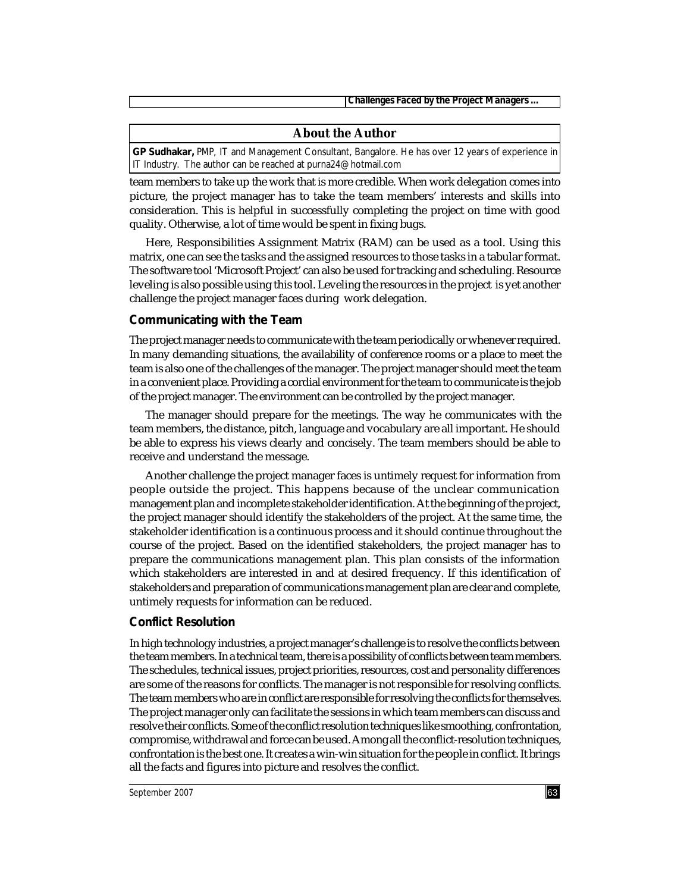*Challenges Faced by the Project Managers ...* 

### **About the Author**

**GP Sudhakar,** PMP, IT and Management Consultant, Bangalore. He has over 12 years of experience in IT Industry. The author can be reached at purna24@hotmail.com

team members to take up the work that is more credible. When work delegation comes into picture, the project manager has to take the team members' interests and skills into consideration. This is helpful in successfully completing the project on time with good quality. Otherwise, a lot of time would be spent in fixing bugs.

Here, Responsibilities Assignment Matrix (RAM) can be used as a tool. Using this matrix, one can see the tasks and the assigned resources to those tasks in a tabular format. The software tool 'Microsoft Project' can also be used for tracking and scheduling. Resource leveling is also possible using this tool. Leveling the resources in the project is yet another challenge the project manager faces during work delegation.

#### **Communicating with the Team**

The project manager needs to communicate with the team periodically or whenever required. In many demanding situations, the availability of conference rooms or a place to meet the team is also one of the challenges of the manager. The project manager should meet the team in a convenient place. Providing a cordial environment for the team to communicate is the job of the project manager. The environment can be controlled by the project manager.

The manager should prepare for the meetings. The way he communicates with the team members, the distance, pitch, language and vocabulary are all important. He should be able to express his views clearly and concisely. The team members should be able to receive and understand the message.

Another challenge the project manager faces is untimely request for information from people outside the project. This happens because of the unclear communication management plan and incomplete stakeholder identification. At the beginning of the project, the project manager should identify the stakeholders of the project. At the same time, the stakeholder identification is a continuous process and it should continue throughout the course of the project. Based on the identified stakeholders, the project manager has to prepare the communications management plan. This plan consists of the information which stakeholders are interested in and at desired frequency. If this identification of stakeholders and preparation of communications management plan are clear and complete, untimely requests for information can be reduced.

### **Conflict Resolution**

In high technology industries, a project manager's challenge is to resolve the conflicts between the team members. In a technical team, there is a possibility of conflicts between team members. The schedules, technical issues, project priorities, resources, cost and personality differences are some of the reasons for conflicts. The manager is not responsible for resolving conflicts. The team members who are in conflict are responsible for resolving the conflicts for themselves. The project manager only can facilitate the sessions in which team members can discuss and resolve their conflicts. Some of the conflict resolution techniques like smoothing, confrontation, compromise, withdrawal and force can be used. Among all the conflict-resolution techniques, confrontation is the best one. It creates a win-win situation for the people in conflict. It brings all the facts and figures into picture and resolves the conflict.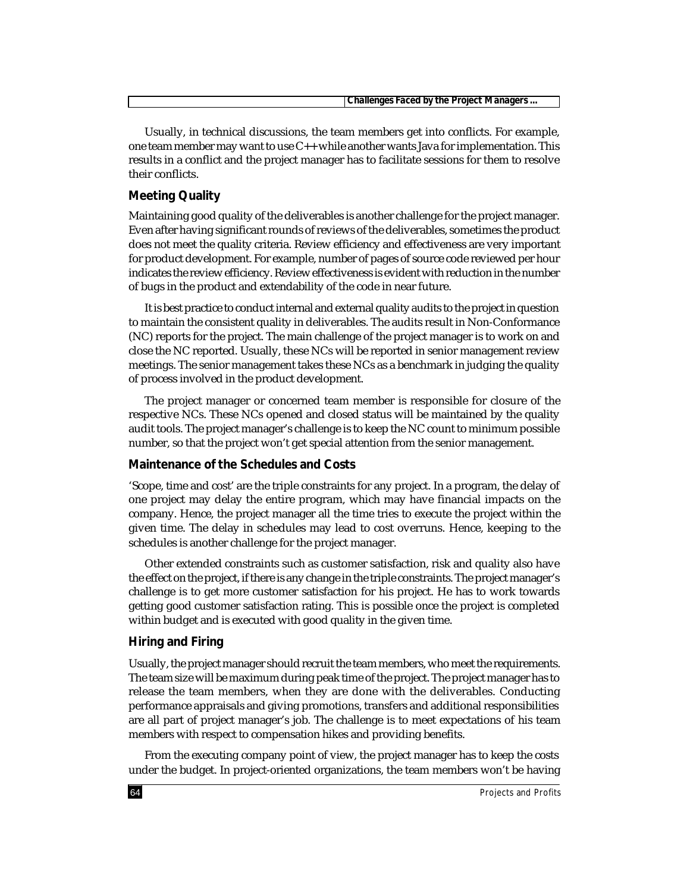| . Manager <sup>,</sup><br><br>Proiect<br>n,<br>nv<br>cea<br>me<br>mer<br>$\overline{a}$<br>---<br>. |  |
|-----------------------------------------------------------------------------------------------------|--|
|                                                                                                     |  |

Usually, in technical discussions, the team members get into conflicts. For example, one team member may want to use C++ while another wants Java for implementation. This results in a conflict and the project manager has to facilitate sessions for them to resolve their conflicts.

# **Meeting Quality**

Maintaining good quality of the deliverables is another challenge for the project manager. Even after having significant rounds of reviews of the deliverables, sometimes the product does not meet the quality criteria. Review efficiency and effectiveness are very important for product development. For example, number of pages of source code reviewed per hour indicates the review efficiency. Review effectiveness is evident with reduction in the number of bugs in the product and extendability of the code in near future.

It is best practice to conduct internal and external quality audits to the project in question to maintain the consistent quality in deliverables. The audits result in Non-Conformance (NC) reports for the project. The main challenge of the project manager is to work on and close the NC reported. Usually, these NCs will be reported in senior management review meetings. The senior management takes these NCs as a benchmark in judging the quality of process involved in the product development.

The project manager or concerned team member is responsible for closure of the respective NCs. These NCs opened and closed status will be maintained by the quality audit tools. The project manager's challenge is to keep the NC count to minimum possible number, so that the project won't get special attention from the senior management.

## **Maintenance of the Schedules and Costs**

'Scope, time and cost' are the triple constraints for any project. In a program, the delay of one project may delay the entire program, which may have financial impacts on the company. Hence, the project manager all the time tries to execute the project within the given time. The delay in schedules may lead to cost overruns. Hence, keeping to the schedules is another challenge for the project manager.

Other extended constraints such as customer satisfaction, risk and quality also have the effect on the project, if there is any change in the triple constraints. The project manager's challenge is to get more customer satisfaction for his project. He has to work towards getting good customer satisfaction rating. This is possible once the project is completed within budget and is executed with good quality in the given time.

## **Hiring and Firing**

Usually, the project manager should recruit the team members, who meet the requirements. The team size will be maximum during peak time of the project. The project manager has to release the team members, when they are done with the deliverables. Conducting performance appraisals and giving promotions, transfers and additional responsibilities are all part of project manager's job. The challenge is to meet expectations of his team members with respect to compensation hikes and providing benefits.

From the executing company point of view, the project manager has to keep the costs under the budget. In project-oriented organizations, the team members won't be having